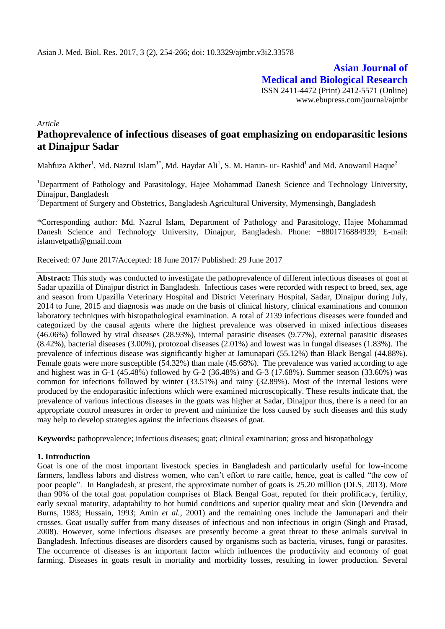**Asian Journal of Medical and Biological Research** ISSN 2411-4472 (Print) 2412-5571 (Online) www.ebupress.com/journal/ajmbr

*Article*

# **Pathoprevalence of infectious diseases of goat emphasizing on endoparasitic lesions at Dinajpur Sadar**

Mahfuza Akther<sup>1</sup>, Md. Nazrul Islam<sup>1\*</sup>, Md. Haydar Ali<sup>1</sup>, S. M. Harun- ur- Rashid<sup>1</sup> and Md. Anowarul Haque<sup>2</sup>

<sup>1</sup>Department of Pathology and Parasitology, Hajee Mohammad Danesh Science and Technology University, Dinajpur, Bangladesh

<sup>2</sup>Department of Surgery and Obstetrics, Bangladesh Agricultural University, Mymensingh, Bangladesh

\*Corresponding author: Md. Nazrul Islam, Department of Pathology and Parasitology, Hajee Mohammad Danesh Science and Technology University, Dinajpur, Bangladesh. Phone: +8801716884939; E-mail: islamvetpath@gmail.com

Received: 07 June 2017/Accepted: 18 June 2017/ Published: 29 June 2017

**Abstract:** This study was conducted to investigate the pathoprevalence of different infectious diseases of goat at Sadar upazilla of Dinajpur district in Bangladesh. Infectious cases were recorded with respect to breed, sex, age and season from Upazilla Veterinary Hospital and District Veterinary Hospital, Sadar, Dinajpur during July, 2014 to June, 2015 and diagnosis was made on the basis of clinical history, clinical examinations and common laboratory techniques with histopathological examination. A total of 2139 infectious diseases were founded and categorized by the causal agents where the highest prevalence was observed in mixed infectious diseases (46.06%) followed by viral diseases (28.93%), internal parasitic diseases (9.77%), external parasitic diseases (8.42%), bacterial diseases (3.00%), protozoal diseases (2.01%) and lowest was in fungal diseases (1.83%). The prevalence of infectious disease was significantly higher at Jamunapari (55.12%) than Black Bengal (44.88%). Female goats were more susceptible (54.32%) than male (45.68%). The prevalence was varied according to age and highest was in G-1 (45.48%) followed by G-2 (36.48%) and G-3 (17.68%). Summer season (33.60%) was common for infections followed by winter (33.51%) and rainy (32.89%). Most of the internal lesions were produced by the endoparasitic infections which were examined microscopically. These results indicate that, the prevalence of various infectious diseases in the goats was higher at Sadar, Dinajpur thus, there is a need for an appropriate control measures in order to prevent and minimize the loss caused by such diseases and this study may help to develop strategies against the infectious diseases of goat.

**Keywords:** pathoprevalence; infectious diseases; goat; clinical examination; gross and histopathology

## **1. Introduction**

Goat is one of the most important livestock species in Bangladesh and particularly useful for low-income farmers, landless labors and distress women, who can"t effort to rare cattle, hence, goat is called "the cow of poor people". In Bangladesh, at present, the approximate number of goats is 25.20 million (DLS, 2013). More than 90% of the total goat population comprises of Black Bengal Goat, reputed for their prolificacy, fertility, early sexual maturity, adaptability to hot humid conditions and superior quality meat and skin (Devendra and Burns, 1983; Hussain, 1993; Amin *et al.*, 2001) and the remaining ones include the Jamunapari and their crosses. Goat usually suffer from many diseases of infectious and non infectious in origin (Singh and Prasad, 2008). However, some infectious diseases are presently become a great threat to these animals survival in Bangladesh. Infectious diseases are disorders caused by organisms such as bacteria, viruses, fungi or parasites. The occurrence of diseases is an important factor which influences the productivity and economy of goat farming. Diseases in goats result in mortality and morbidity losses, resulting in lower production. Several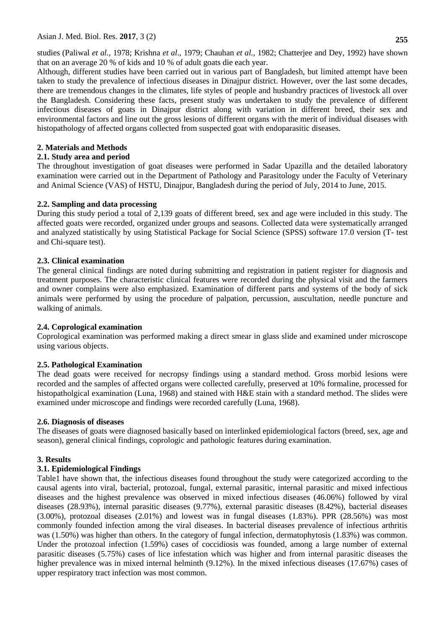studies (Paliwal *et al.,* 1978; Krishna *et al*., 1979; Chauhan *et al.,* 1982; Chatterjee and Dey, 1992) have shown that on an average 20 % of kids and 10 % of adult goats die each year.

Although, different studies have been carried out in various part of Bangladesh, but limited attempt have been taken to study the prevalence of infectious diseases in Dinajpur district. However, over the last some decades, there are tremendous changes in the climates, life styles of people and husbandry practices of livestock all over the Bangladesh. Considering these facts, present study was undertaken to study the prevalence of different infectious diseases of goats in Dinajpur district along with variation in different breed, their sex and environmental factors and line out the gross lesions of different organs with the merit of individual diseases with histopathology of affected organs collected from suspected goat with endoparasitic diseases.

## **2. Materials and Methods**

## **2.1. Study area and period**

The throughout investigation of goat diseases were performed in Sadar Upazilla and the detailed laboratory examination were carried out in the Department of Pathology and Parasitology under the Faculty of Veterinary and Animal Science (VAS) of HSTU, Dinajpur, Bangladesh during the period of July, 2014 to June, 2015.

## **2.2. Sampling and data processing**

During this study period a total of 2,139 goats of different breed, sex and age were included in this study. The affected goats were recorded, organized under groups and seasons. Collected data were systematically arranged and analyzed statistically by using Statistical Package for Social Science (SPSS) software 17.0 version (T- test and Chi-square test).

## **2.3. Clinical examination**

The general clinical findings are noted during submitting and registration in patient register for diagnosis and treatment purposes. The characteristic clinical features were recorded during the physical visit and the farmers and owner complains were also emphasized. Examination of different parts and systems of the body of sick animals were performed by using the procedure of palpation, percussion, auscultation, needle puncture and walking of animals.

## **2.4. Coprological examination**

Coprological examination was performed making a direct smear in glass slide and examined under microscope using various objects.

## **2.5. Pathological Examination**

The dead goats were received for necropsy findings using a standard method. Gross morbid lesions were recorded and the samples of affected organs were collected carefully, preserved at 10% formaline, processed for histopatholgical examination (Luna, 1968) and stained with H&E stain with a standard method. The slides were examined under microscope and findings were recorded carefully (Luna, 1968).

## **2.6. Diagnosis of diseases**

The diseases of goats were diagnosed basically based on interlinked epidemiological factors (breed, sex, age and season), general clinical findings, coprologic and pathologic features during examination.

## **3. Results**

## **3.1. Epidemiological Findings**

Table1 have shown that, the infectious diseases found throughout the study were categorized according to the causal agents into viral, bacterial, protozoal, fungal, external parasitic, internal parasitic and mixed infectious diseases and the highest prevalence was observed in mixed infectious diseases (46.06%) followed by viral diseases (28.93%), internal parasitic diseases (9.77%), external parasitic diseases (8.42%), bacterial diseases (3.00%), protozoal diseases (2.01%) and lowest was in fungal diseases (1.83%). PPR (28.56%) was most commonly founded infection among the viral diseases. In bacterial diseases prevalence of infectious arthritis was (1.50%) was higher than others. In the category of fungal infection, dermatophytosis (1.83%) was common. Under the protozoal infection (1.59%) cases of coccidiosis was founded, among a large number of external parasitic diseases (5.75%) cases of lice infestation which was higher and from internal parasitic diseases the higher prevalence was in mixed internal helminth (9.12%). In the mixed infectious diseases (17.67%) cases of upper respiratory tract infection was most common.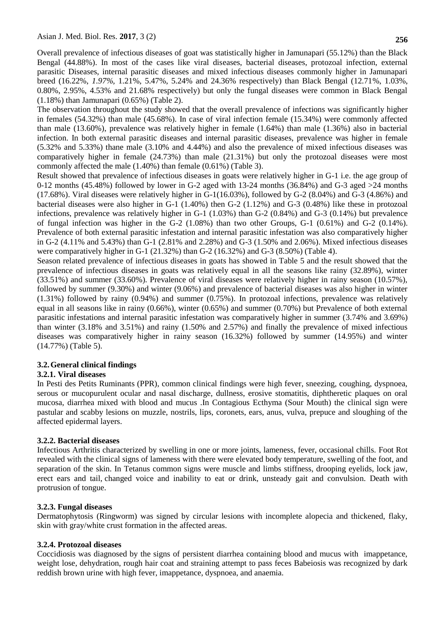Overall prevalence of infectious diseases of goat was statistically higher in Jamunapari (55.12%) than the Black Bengal (44.88%). In most of the cases like viral diseases, bacterial diseases, protozoal infection, external parasitic Diseases, internal parasitic diseases and mixed infectious diseases commonly higher in Jamunapari breed (16.22%, *1.97%,* 1.21%, 5.47%, 5.24% and 24.36% respectively) than Black Bengal (12.71%, 1.03%, 0.80%, 2.95%, 4.53% and 21.68% respectively) but only the fungal diseases were common in Black Bengal (1.18%) than Jamunapari (0.65%) (Table 2).

The observation throughout the study showed that the overall prevalence of infections was significantly higher in females (54.32%) than male (45.68%). In case of viral infection female (15.34%) were commonly affected than male (13.60%), prevalence was relatively higher in female (1.64%) than male (1.36%) also in bacterial infection. In both external parasitic diseases and internal parasitic diseases, prevalence was higher in female (5.32% and 5.33%) thane male (3.10% and 4.44%) and also the prevalence of mixed infectious diseases was comparatively higher in female (24.73%) than male (21.31%) but only the protozoal diseases were most commonly affected the male (1.40%) than female (0.61%) (Table 3).

Result showed that prevalence of infectious diseases in goats were relatively higher in G-1 i.e. the age group of 0-12 months (45.48%) followed by lower in G-2 aged with 13-24 months (36.84%) and G-3 aged  $>24$  months (17.68%). Viral diseases were relatively higher in G-1(16.03%), followed by G-2 (8.04%) and G-3 (4.86%) and bacterial diseases were also higher in G-1 (1.40%) then G-2 (1.12%) and G-3 (0.48%) like these in protozoal infections, prevalence was relatively higher in G-1 (1.03%) than G-2 (0.84%) and G-3 (0.14%) but prevalence of fungal infection was higher in the G-2 (1.08%) than two other Groups, G-1 (0.61%) and G-2 (0.14%). Prevalence of both external parasitic infestation and internal parasitic infestation was also comparatively higher in G-2 (4.11% and 5.43%) than G-1 (2.81% and 2.28%) and G-3 (1.50% and 2.06%). Mixed infectious diseases were comparatively higher in G-1 (21.32%) than G-2 (16.32%) and G-3 (8.50%) (Table 4).

Season related prevalence of infectious diseases in goats has showed in Table 5 and the result showed that the prevalence of infectious diseases in goats was relatively equal in all the seasons like rainy (32.89%), winter (33.51%) and summer (33.60%). Prevalence of viral diseases were relatively higher in rainy season (10.57%), followed by summer (9.30%) and winter (9.06%) and prevalence of bacterial diseases was also higher in winter (1.31%) followed by rainy (0.94%) and summer (0.75%). In protozoal infections, prevalence was relatively equal in all seasons like in rainy (0.66%), winter (0.65%) and summer (0.70%) but Prevalence of both external parasitic infestations and internal parasitic infestation was comparatively higher in summer (3.74% and 3.69%) than winter (3.18% and 3.51%) and rainy (1.50% and 2.57%) and finally the prevalence of mixed infectious diseases was comparatively higher in rainy season (16.32%) followed by summer (14.95%) and winter (14.77%) (Table 5).

## **3.2.General clinical findings**

## **3.2.1. Viral diseases**

In Pesti des Petits Ruminants (PPR), common clinical findings were high fever, sneezing, coughing, dyspnoea, serous or mucopurulent ocular and nasal discharge, dullness, erosive stomatitis, diphtheretic plaques on oral mucosa, diarrhea mixed with blood and mucus .In Contagious Ecthyma (Sour Mouth) the clinical sign were pastular and scabby lesions on muzzle, nostrils, lips, coronets, ears, anus, vulva, prepuce and sloughing of the affected epidermal layers.

## **3.2.2. Bacterial diseases**

Infectious Arthritis characterized by swelling in one or more joints, lameness, fever, occasional chills. Foot Rot revealed with the clinical signs of lameness with there were elevated body temperature, swelling of the foot, and separation of the skin. In Tetanus common signs were muscle and limbs stiffness, drooping eyelids, lock jaw, erect ears and tail, changed voice and inability to eat or drink, unsteady gait and convulsion. Death with protrusion of tongue.

## **3.2.3. Fungal diseases**

Dermatophytosis (Ringworm) was signed by circular lesions with incomplete alopecia and thickened, flaky, skin with gray/white crust formation in the affected areas.

## **3.2.4. Protozoal diseases**

Coccidiosis was diagnosed by the signs of persistent diarrhea containing blood and mucus with imappetance, weight lose, dehydration, rough hair coat and straining attempt to pass feces Babeiosis was recognized by dark reddish brown urine with high fever, imappetance, dyspnoea, and anaemia.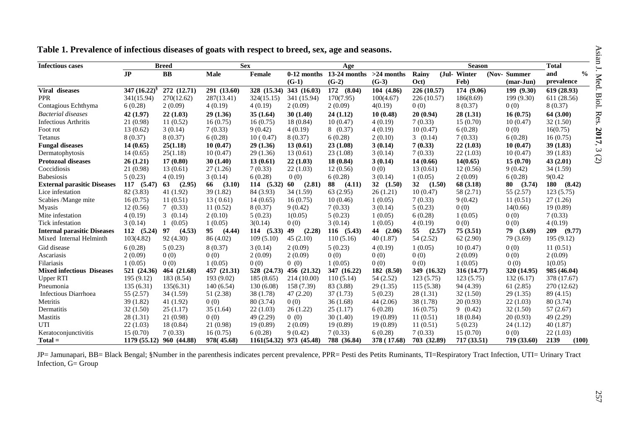| <b>Infectious cases</b>            |                 | <b>Breed</b> | <b>Sex</b>   |             |               | Age            |              |              | <b>Season</b> |                    | <b>Total</b>         |
|------------------------------------|-----------------|--------------|--------------|-------------|---------------|----------------|--------------|--------------|---------------|--------------------|----------------------|
|                                    | J <sub>P</sub>  | $\mathbf{B}$ | <b>Male</b>  | Female      | $0-12$ months | $13-24$ months | $>24$ months | Rainy        | (Jul-Winter   | (Nov-Summer        | $\frac{0}{0}$<br>and |
|                                    |                 |              |              |             | $(G-1)$       | $(G-2)$        | $(G-3)$      | Oct)         | Feb)          | $(\text{mar-Jun})$ | prevalence           |
| Viral diseases                     | 347 $(16.22)^8$ | 272 (12.71)  | 291 (13.60)  | 328 (15.34) | 343 (16.03)   | 172 (8.04)     | 104 (4.86)   | 226 (10.57)  | 174 (9.06)    | 199 (9.30)         | 619 (28.93)          |
| <b>PPR</b>                         | 341(15.94)      | 270(12.62)   | 287(13.41)   | 324(15.15)  | 341 (15.94)   | 170(7.95)      | 100(4.67)    | 226 (10.57)  | 186(8.69)     | 199 (9.30)         | 611 (28.56)          |
| Contagious Echthyma                | 6(0.28)         | 2(0.09)      | 4(0.19)      | 4(0.19)     | 2(0.09)       | 2(0.09)        | 4(0.19)      | 0(0)         | 8 (0.37)      | 0(0)               | 8(0.37)              |
| <b>Bacterial diseases</b>          | 42 (1.97)       | 22(1.03)     | 29(1.36)     | 35(1.64)    | 30(1.40)      | 24(1.12)       | 10(0.48)     | 20(0.94)     | 28(1.31)      | 16(0.75)           | 64(3.00)             |
| <b>Infectious Arthritis</b>        | 21 (0.98)       | 11(0.52)     | 16(0.75)     | 16(0.75)    | 18 (0.84)     | 10(0.47)       | 4(0.19)      | 7(0.33)      | 15(0.70)      | 10(0.47)           | 32(1.50)             |
| Foot rot                           | 13(0.62)        | 3(0.14)      | 7(0.33)      | 9(0.42)     | 4(0.19)       | 8(0.37)        | 4(0.19)      | 10(0.47)     | 6(0.28)       | 0(0)               | 16(0.75)             |
| Tetanus                            | 8(0.37)         | 8(0.37)      | 6(0.28)      | 10(0.47)    | 8(0.37)       | 6(0.28)        | 2(0.10)      | 3(0.14)      | 7(0.33)       | 6(0.28)            | 16(0.75)             |
| <b>Fungal diseases</b>             | 14(0.65)        | 25(1.18)     | 10(0.47)     | 29(1.36)    | 13(0.61)      | 23(1.08)       | 3(0.14)      | 7(0.33)      | 22(1.03)      | 10(0.47)           | 39(1.83)             |
| Dermatophytosis                    | 14(0.65)        | 25(1.18)     | 10(0.47)     | 29(1.36)    | 13(0.61)      | 23(1.08)       | 3(0.14)      | 7(0.33)      | 22(1.03)      | 10(0.47)           | 39(1.83)             |
| <b>Protozoal diseases</b>          | 26(1.21)        | 17(0.80)     | 30(1.40)     | 13(0.61)    | 22(1.03)      | 18 (0.84)      | 3(0.14)      | 14 (0.66)    | 14(0.65)      | 15(0.70)           | 43(2.01)             |
| Coccidiosis                        | 21 (0.98)       | 13(0.61)     | 27(1.26)     | 7(0.33)     | 22(1.03)      | 12(0.56)       | 0(0)         | 13(0.61)     | 12(0.56)      | 9(0.42)            | 34(1.59)             |
| <b>Babesiosis</b>                  | 5(0.23)         | 4(0.19)      | 3(0.14)      | 6(0.28)     | 0(0)          | 6(0.28)        | 3(0.14)      | 1(0.05)      | 2(0.09)       | 6(0.28)            | 9(0.42)              |
| <b>External parasitic Diseases</b> | 117 (5.47)      | (2.95)<br>63 | 66<br>(3.10) | 114(5.32)   | (2.81)<br>60  | 88<br>(4.11)   | 32<br>(1.50) | 32<br>(1.50) | 68 (3.18)     | (3.74)<br>80       | 180<br>(8.42)        |
| Lice infestation                   | 82 (3.83)       | 41 (1.92)    | 39(1.82)     | 84 (3.93)   | 34(1.59)      | 63 (2.95)      | 26(1.21)     | 10(0.47)     | 58 (2.71)     | 55 (2.57)          | 123(5.75)            |
| Scabies /Mange mite                | 16(0.75)        | 11(0.51)     | 13(0.61)     | 14(0.65)    | 16(0.75)      | 10(0.46)       | 1(0.05)      | 7(0.33)      | 9(0.42)       | 11(0.51)           | 27(1.26)             |
| <b>Myasis</b>                      | 12(0.56)        | 7(0.33)      | 11(0.52)     | 8(0.37)     | 9(0.42)       | 7(0.33)        | 3(0.14)      | 5(0.23)      | 0(0)          | 14(0.66)           | 19(0.89)             |
| Mite infestation                   | 4(0.19)         | 3(0.14)      | 2(0.10)      | 5(0.23)     | 1(0.05)       | 5(0.23)        | 1(0.05)      | 6(0.28)      | 1(0.05)       | 0(0)               | 7(0.33)              |
| Tick infestation                   | 3(0.14)         | 1(0.05)      | 1(0.05)      | 3(0.14)     | 0(0)          | 3(0.14)        | 1(0.05)      | 4(0.19)      | 0(0)          | 0(0)               | 4(0.19)              |
| <b>Internal parasitic Diseases</b> | 112(5.24)       | 97<br>(4.53) | (4.44)<br>95 | 114(5.33)   | 49<br>(2.28)  | $116$ $(5.43)$ | (2.06)<br>44 | 55<br>(2.57) | 75(3.51)      | 79<br>(3.69)       | 209<br>(9.77)        |
| Mixed Internal Helminth            | 103(4.82)       | 92 (4.30)    | 86 (4.02)    | 109(5.10)   | 45(2.10)      | 110(5.16)      | 40(1.87)     | 54 (2.52)    | 62 (2.90)     | 79 (3.69)          | 195 (9.12)           |
| Gid disease                        | 6(0.28)         | 5(0.23)      | 8(0.37)      | 3(0.14)     | 2(0.09)       | 5(0.23)        | 4(0.19)      | 1(0.05)      | 10(0.47)      | 0(0)               | 11(0.51)             |
| Ascariasis                         | 2(0.09)         | 0(0)         | 0(0)         | 2(0.09)     | 2(0.09)       | 0(0)           | 0(0)         | 0(0)         | 2(0.09)       | 0(0)               | 2(0.09)              |
| Filariasis                         | 1(0.05)         | 0(0)         | 1(0.05)      | 0(0)        | 0(0)          | 1(0.05)        | 0(0)         | 0(0)         | 1(0.05)       | 0(0)               | 1(0.05)              |
| <b>Mixed infectious Diseases</b>   | 521 (24.36)     | 464 (21.68)  | 457 (21.31)  | 528 (24.73) | 456 (21.32)   | 347 (16.22)    | 182 (8.50)   | 349 (16.32)  | 316 (14.77)   | 320 (14.95)        | 985 (46.04)          |
| <b>Upper RTI</b>                   | 195(9.12)       | 183 (8.54)   | 193 (9.02)   | 185(8.65)   | 214(10.00)    | 110(5.14)      | 54 (2.52)    | 123(5.75)    | 123(5.75)     | 132(6.17)          | 378 (17.67)          |
| Pneumonia                          | 135(6.31)       | 135(6.31)    | 140(6.54)    | 130(6.08)   | 158 (7.39)    | 83 (3.88)      | 29(1.35)     | 115 (5.38)   | 94 (4.39)     | 61(2.85)           | 270 (12.62)          |
| <b>Infectious Diarrhoea</b>        | 55 (2.57)       | 34 (1.59)    | 51 (2.38)    | 38 (1.78)   | 47(2.20)      | 37(1.73)       | 5(0.23)      | 28(1.31)     | 32(1.50)      | 29(1.35)           | 89 (4.15)            |
| Metritis                           | 39(1.82)        | 41(1.92)     | 0(0)         | 80 (3.74)   | 0(0)          | 36(1.68)       | 44(2.06)     | 38 (1.78)    | 20(0.93)      | 22(1.03)           | 80 (3.74)            |
| Dermatitis                         | 32(1.50)        | 25(1.17)     | 35(1.64)     | 22(1.03)    | 26(1.22)      | 25(1.17)       | 6(0.28)      | 16(0.75)     | 9(0.42)       | 32(1.50)           | 57(2.67)             |
| Mastitis                           | 28(1.31)        | 21(0.98)     | 0(0)         | 49 (2.29)   | 0(0)          | 30(1.40)       | 19(0.89)     | 11(0.51)     | 18 (0.84)     | 20(0.93)           | 49 (2.29)            |
| UTI                                | 22(1.03)        | 18(0.84)     | 21 (0.98)    | 19(0.89)    | 2(0.09)       | 19(0.89)       | 19(0.89)     | 11(0.51)     | 5(0.23)       | 24(1.12)           | 40(1.87)             |
| Keratoconjunctivitis               | 15(0.70)        | 7(0.33)      | 16(0.75)     | 6(0.28)     | 9(0.42)       | 7(0.33)        | 6(0.28)      | 7(0.33)      | 15(0.70)      | 0(0)               | 22(1.03)             |
| $Total =$                          | 1179 (55.12)    | 960 (44.88)  | 978(45.68)   | 1161(54.32) | 973 (45.48)   | 788 (36.84)    | 378 (17.68)  | 703 (32.89)  | 717 (33.51)   | 719 (33.60)        | 2139<br>(100)        |

**Table 1. Prevalence of infectious diseases of goats with respect to breed, sex, age and seasons.**

JP= Jamunapari, BB= Black Bengal; §Number in the parenthesis indicates percent prevalence, PPR= Pesti des Petits Ruminants, TI=Respiratory Tract Infection, UTI= Urinary Tract Infection, G= Group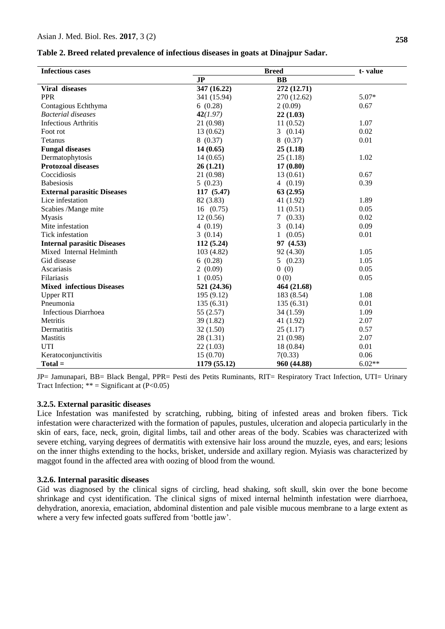| Table 2. Breed related prevalence of infectious diseases in goats at Dinajpur Sadar. |  |  |  |  |  |  |
|--------------------------------------------------------------------------------------|--|--|--|--|--|--|
|--------------------------------------------------------------------------------------|--|--|--|--|--|--|

| <b>Infectious cases</b>            |                | t-value     |          |
|------------------------------------|----------------|-------------|----------|
|                                    | J <sub>P</sub> | <b>BB</b>   |          |
| Viral diseases                     | 347 (16.22)    | 272 (12.71) |          |
| <b>PPR</b>                         | 341 (15.94)    | 270 (12.62) | $5.07*$  |
| Contagious Echthyma                | 6(0.28)        | 2(0.09)     | 0.67     |
| <b>Bacterial diseases</b>          | 42(1.97)       | 22(1.03)    |          |
| <b>Infectious Arthritis</b>        | 21 (0.98)      | 11(0.52)    | 1.07     |
| Foot rot                           | 13(0.62)       | 3(0.14)     | 0.02     |
| Tetanus                            | 8(0.37)        | 8(0.37)     | 0.01     |
| <b>Fungal diseases</b>             | 14(0.65)       | 25(1.18)    |          |
| Dermatophytosis                    | 14(0.65)       | 25(1.18)    | 1.02     |
| <b>Protozoal diseases</b>          | 26(1.21)       | 17(0.80)    |          |
| Coccidiosis                        | 21 (0.98)      | 13(0.61)    | 0.67     |
| <b>Babesiosis</b>                  | 5(0.23)        | 4(0.19)     | 0.39     |
| <b>External parasitic Diseases</b> | 117(5.47)      | 63(2.95)    |          |
| Lice infestation                   | 82 (3.83)      | 41 (1.92)   | 1.89     |
| Scabies /Mange mite                | 16(0.75)       | 11(0.51)    | 0.05     |
| <b>Myasis</b>                      | 12(0.56)       | 7(0.33)     | 0.02     |
| Mite infestation                   | 4(0.19)        | 3(0.14)     | 0.09     |
| Tick infestation                   | 3(0.14)        | 1(0.05)     | 0.01     |
| <b>Internal parasitic Diseases</b> | 112 (5.24)     | 97 (4.53)   |          |
| Mixed Internal Helminth            | 103 (4.82)     | 92 (4.30)   | 1.05     |
| Gid disease                        | 6(0.28)        | 5(0.23)     | 1.05     |
| Ascariasis                         | 2(0.09)        | 0(0)        | 0.05     |
| Filariasis                         | 1(0.05)        | 0(0)        | 0.05     |
| <b>Mixed infectious Diseases</b>   | 521 (24.36)    | 464 (21.68) |          |
| <b>Upper RTI</b>                   | 195 (9.12)     | 183 (8.54)  | 1.08     |
| Pneumonia                          | 135(6.31)      | 135(6.31)   | 0.01     |
| Infectious Diarrhoea               | 55 (2.57)      | 34(1.59)    | 1.09     |
| Metritis                           | 39(1.82)       | 41 (1.92)   | 2.07     |
| Dermatitis                         | 32(1.50)       | 25(1.17)    | 0.57     |
| Mastitis                           | 28(1.31)       | 21 (0.98)   | 2.07     |
| <b>UTI</b>                         | 22(1.03)       | 18(0.84)    | 0.01     |
| Keratoconjunctivitis               | 15(0.70)       | 7(0.33)     | 0.06     |
| $Total =$                          | 1179 (55.12)   | 960 (44.88) | $6.02**$ |

JP= Jamunapari, BB= Black Bengal, PPR= Pesti des Petits Ruminants, RIT= Respiratory Tract Infection, UTI= Urinary Tract Infection;  $** =$  Significant at (P<0.05)

#### **3.2.5. External parasitic diseases**

Lice Infestation was manifested by scratching, rubbing, biting of infested areas and broken fibers. Tick infestation were characterized with the formation of papules, pustules, ulceration and alopecia particularly in the skin of ears, face, neck, groin, digital limbs, tail and other areas of the body. Scabies was characterized with severe etching, varying degrees of dermatitis with extensive hair loss around the muzzle, eyes, and ears; lesions on the inner thighs extending to the hocks, brisket, underside and axillary region. Myiasis was characterized by maggot found in the affected area with oozing of blood from the wound.

## **3.2.6. Internal parasitic diseases**

Gid was diagnosed by the clinical signs of circling, head shaking, soft skull, skin over the bone become shrinkage and cyst identification. The clinical signs of mixed internal helminth infestation were diarrhoea, dehydration, anorexia, emaciation, abdominal distention and pale visible mucous membrane to a large extent as where a very few infected goats suffered from "bottle jaw".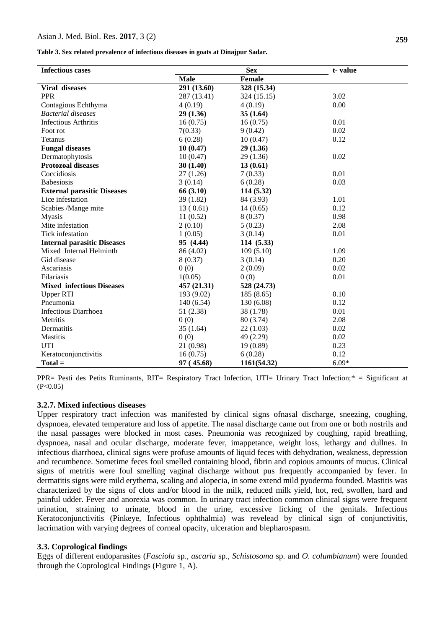#### Asian J. Med. Biol. Res. **2017**, 3 (2)

**Table 3. Sex related prevalence of infectious diseases in goats at Dinajpur Sadar.**

| <b>Infectious cases</b>            |             | <b>Sex</b>    | t-value |  |
|------------------------------------|-------------|---------------|---------|--|
|                                    | <b>Male</b> | <b>Female</b> |         |  |
| Viral diseases                     | 291 (13.60) | 328 (15.34)   |         |  |
| <b>PPR</b>                         | 287 (13.41) | 324 (15.15)   | 3.02    |  |
| Contagious Echthyma                | 4(0.19)     | 4(0.19)       | 0.00    |  |
| <b>Bacterial diseases</b>          | 29(1.36)    | 35(1.64)      |         |  |
| <b>Infectious Arthritis</b>        | 16(0.75)    | 16(0.75)      | 0.01    |  |
| Foot rot                           | 7(0.33)     | 9(0.42)       | 0.02    |  |
| Tetanus                            | 6(0.28)     | 10(0.47)      | 0.12    |  |
| <b>Fungal diseases</b>             | 10(0.47)    | 29(1.36)      |         |  |
| Dermatophytosis                    | 10(0.47)    | 29 (1.36)     | 0.02    |  |
| <b>Protozoal diseases</b>          | 30(1.40)    | 13(0.61)      |         |  |
| Coccidiosis                        | 27(1.26)    | 7(0.33)       | 0.01    |  |
| <b>Babesiosis</b>                  | 3(0.14)     | 6(0.28)       | 0.03    |  |
| <b>External parasitic Diseases</b> | 66 (3.10)   | 114(5.32)     |         |  |
| Lice infestation                   | 39(1.82)    | 84 (3.93)     | 1.01    |  |
| Scabies /Mange mite                | 13(0.61)    | 14(0.65)      | 0.12    |  |
| <b>Myasis</b>                      | 11(0.52)    | 8(0.37)       | 0.98    |  |
| Mite infestation                   | 2(0.10)     | 5(0.23)       | 2.08    |  |
| Tick infestation                   | 1(0.05)     | 3(0.14)       | 0.01    |  |
| <b>Internal parasitic Diseases</b> | 95 (4.44)   | 114(5.33)     |         |  |
| Mixed Internal Helminth            | 86 (4.02)   | 109(5.10)     | 1.09    |  |
| Gid disease                        | 8(0.37)     | 3(0.14)       | 0.20    |  |
| Ascariasis                         | 0(0)        | 2(0.09)       | 0.02    |  |
| Filariasis                         | 1(0.05)     | 0(0)          | 0.01    |  |
| <b>Mixed infectious Diseases</b>   | 457 (21.31) | 528 (24.73)   |         |  |
| <b>Upper RTI</b>                   | 193 (9.02)  | 185(8.65)     | 0.10    |  |
| Pneumonia                          | 140(6.54)   | 130(6.08)     | 0.12    |  |
| <b>Infectious Diarrhoea</b>        | 51 (2.38)   | 38 (1.78)     | 0.01    |  |
| Metritis                           | 0(0)        | 80 (3.74)     | 2.08    |  |
| Dermatitis                         | 35(1.64)    | 22(1.03)      | 0.02    |  |
| <b>Mastitis</b>                    | 0(0)        | 49 (2.29)     | 0.02    |  |
| <b>UTI</b>                         | 21 (0.98)   | 19(0.89)      | 0.23    |  |
| Keratoconjunctivitis               | 16(0.75)    | 6(0.28)       | 0.12    |  |
| $Total =$                          | 97 (45.68)  | 1161(54.32)   | $6.09*$ |  |

PPR= Pesti des Petits Ruminants, RIT= Respiratory Tract Infection, UTI= Urinary Tract Infection;\* = Significant at  $(P<0.05)$ 

## **3.2.7. Mixed infectious diseases**

Upper respiratory tract infection was manifested by clinical signs ofnasal discharge, sneezing, coughing, dyspnoea, elevated temperature and loss of appetite. The nasal discharge came out from one or both nostrils and the nasal passages were blocked in most cases. Pneumonia was recognized by coughing, rapid breathing, dyspnoea, nasal and ocular discharge, moderate fever, imappetance, weight loss, lethargy and dullnes. In infectious diarrhoea, clinical signs were profuse amounts of liquid feces with dehydration, weakness, depression and recumbence. Sometime feces foul smelled containing blood, fibrin and copious amounts of mucus. Clinical signs of metritis were foul smelling vaginal discharge without pus frequently accompanied by fever. In dermatitis signs were mild erythema, scaling and alopecia, in some extend mild pyoderma founded. Mastitis was characterized by the signs of clots and/or blood in the milk, reduced milk yield, hot, red, swollen, hard and painful udder. Fever and anorexia was common. In urinary tract infection common clinical signs were frequent urination, straining to urinate, blood in the urine, excessive licking of the genitals. Infectious Keratoconjunctivitis (Pinkeye, Infectious ophthalmia) was revelead by clinical sign of conjunctivitis, lacrimation with varying degrees of corneal opacity, ulceration and blepharospasm.

#### **3.3. Coprological findings**

Eggs of different endoparasites (*Fasciola* sp., *ascaria* sp., *Schistosoma* sp. and *O. columbianum*) were founded through the Coprological Findings (Figure 1, A).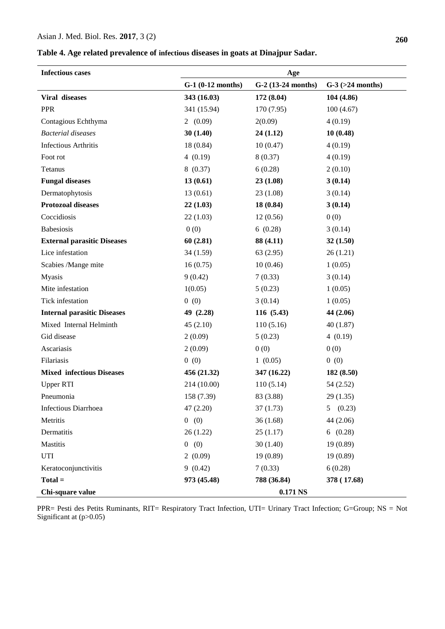### Asian J. Med. Biol. Res. **2017**, 3 (2)

**Table 4. Age related prevalence of infectious diseases in goats at Dinajpur Sadar.**

| <b>Infectious cases</b>            | Age                 |                    |                       |  |  |
|------------------------------------|---------------------|--------------------|-----------------------|--|--|
|                                    | $G-1$ (0-12 months) | G-2 (13-24 months) | $G-3$ ( $>24$ months) |  |  |
| Viral diseases                     | 343 (16.03)         | 172 (8.04)         | 104 (4.86)            |  |  |
| <b>PPR</b>                         | 341 (15.94)         | 170 (7.95)         | 100(4.67)             |  |  |
| Contagious Echthyma                | 2(0.09)             | 2(0.09)            | 4(0.19)               |  |  |
| <b>Bacterial</b> diseases          | 30(1.40)            | 24(1.12)           | 10(0.48)              |  |  |
| <b>Infectious Arthritis</b>        | 18 (0.84)           | 10(0.47)           | 4(0.19)               |  |  |
| Foot rot                           | 4(0.19)             | 8(0.37)            | 4(0.19)               |  |  |
| Tetanus                            | 8(0.37)             | 6(0.28)            | 2(0.10)               |  |  |
| <b>Fungal diseases</b>             | 13(0.61)            | 23(1.08)           | 3(0.14)               |  |  |
| Dermatophytosis                    | 13(0.61)            | 23(1.08)           | 3(0.14)               |  |  |
| <b>Protozoal diseases</b>          | 22(1.03)            | 18(0.84)           | 3(0.14)               |  |  |
| Coccidiosis                        | 22(1.03)            | 12(0.56)           | 0(0)                  |  |  |
| <b>Babesiosis</b>                  | 0(0)                | 6(0.28)            | 3(0.14)               |  |  |
| <b>External parasitic Diseases</b> | 60(2.81)            | 88 (4.11)          | 32(1.50)              |  |  |
| Lice infestation                   | 34 (1.59)           | 63(2.95)           | 26(1.21)              |  |  |
| Scabies /Mange mite                | 16(0.75)            | 10(0.46)           | 1(0.05)               |  |  |
| <b>Myasis</b>                      | 9(0.42)             | 7(0.33)            | 3(0.14)               |  |  |
| Mite infestation                   | 1(0.05)             | 5(0.23)            | 1(0.05)               |  |  |
| Tick infestation                   | 0(0)                | 3(0.14)            | 1(0.05)               |  |  |
| <b>Internal parasitic Diseases</b> | 49 $(2.28)$         | 116 (5.43)         | 44 (2.06)             |  |  |
| Mixed Internal Helminth            | 45(2.10)            | 110(5.16)          | 40(1.87)              |  |  |
| Gid disease                        | 2(0.09)             | 5(0.23)            | 4(0.19)               |  |  |
| Ascariasis                         | 2(0.09)             | 0(0)               | 0(0)                  |  |  |
| Filariasis                         | 0(0)                | 1(0.05)            | 0(0)                  |  |  |
| <b>Mixed infectious Diseases</b>   | 456 (21.32)         | 347 (16.22)        | 182 (8.50)            |  |  |
| <b>Upper RTI</b>                   | 214 (10.00)         | 110(5.14)          | 54 (2.52)             |  |  |
| Pneumonia                          | 158 (7.39)          | 83 (3.88)          | 29(1.35)              |  |  |
| Infectious Diarrhoea               | 47(2.20)            | 37(1.73)           | (0.23)<br>5           |  |  |
| Metritis                           | 0(0)                | 36(1.68)           | 44 (2.06)             |  |  |
| Dermatitis                         | 26(1.22)            | 25(1.17)           | 6(0.28)               |  |  |
| <b>Mastitis</b>                    | 0(0)                | 30(1.40)           | 19(0.89)              |  |  |
| UTI                                | 2(0.09)             | 19(0.89)           | 19(0.89)              |  |  |
| Keratoconjunctivitis               | 9(0.42)             | 7(0.33)            | 6(0.28)               |  |  |
| $Total =$                          | 973 (45.48)         | 788 (36.84)        | 378 (17.68)           |  |  |
| Chi-square value                   | 0.171 NS            |                    |                       |  |  |

PPR= Pesti des Petits Ruminants, RIT= Respiratory Tract Infection, UTI= Urinary Tract Infection; G=Group; NS = Not Significant at (p>0.05)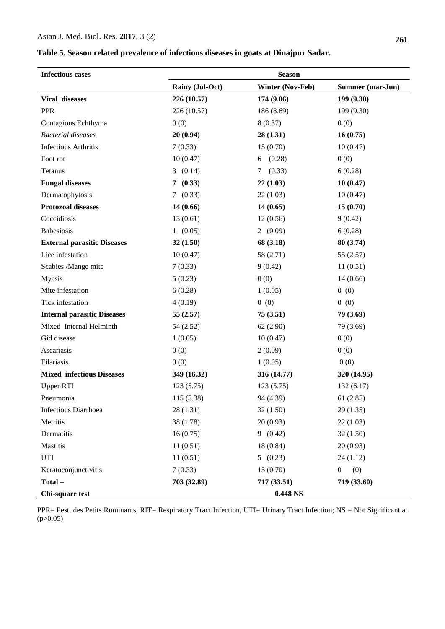| <b>Infectious cases</b>            | <b>Season</b>   |                         |                         |  |  |
|------------------------------------|-----------------|-------------------------|-------------------------|--|--|
|                                    | Rainy (Jul-Oct) | <b>Winter (Nov-Feb)</b> | Summer (mar-Jun)        |  |  |
| Viral diseases                     | 226 (10.57)     | 174 (9.06)              | 199 (9.30)              |  |  |
| <b>PPR</b>                         | 226 (10.57)     | 186 (8.69)              | 199 (9.30)              |  |  |
| Contagious Echthyma                | 0(0)            | 8(0.37)                 | 0(0)                    |  |  |
| <b>Bacterial diseases</b>          | 20(0.94)        | 28(1.31)                | 16(0.75)                |  |  |
| <b>Infectious Arthritis</b>        | 7(0.33)         | 15(0.70)                | 10(0.47)                |  |  |
| Foot rot                           | 10(0.47)        | (0.28)<br>6             | 0(0)                    |  |  |
| Tetanus                            | 3(0.14)         | (0.33)<br>7             | 6(0.28)                 |  |  |
| <b>Fungal diseases</b>             | (0.33)<br>7     | 22(1.03)                | 10(0.47)                |  |  |
| Dermatophytosis                    | (0.33)<br>7     | 22(1.03)                | 10(0.47)                |  |  |
| <b>Protozoal diseases</b>          | 14(0.66)        | 14(0.65)                | 15(0.70)                |  |  |
| Coccidiosis                        | 13(0.61)        | 12(0.56)                | 9(0.42)                 |  |  |
| <b>Babesiosis</b>                  | 1(0.05)         | 2(0.09)                 | 6(0.28)                 |  |  |
| <b>External parasitic Diseases</b> | 32(1.50)        | 68 (3.18)               | 80 (3.74)               |  |  |
| Lice infestation                   | 10(0.47)        | 58 (2.71)               | 55(2.57)                |  |  |
| Scabies /Mange mite                | 7(0.33)         | 9(0.42)                 | 11(0.51)                |  |  |
| <b>Myasis</b>                      | 5(0.23)         | 0(0)                    | 14(0.66)                |  |  |
| Mite infestation                   | 6(0.28)         | 1(0.05)                 | 0(0)                    |  |  |
| Tick infestation                   | 4(0.19)         | 0(0)                    | 0(0)                    |  |  |
| <b>Internal parasitic Diseases</b> | 55(2.57)        | 75(3.51)                | 79 (3.69)               |  |  |
| Mixed Internal Helminth            | 54 (2.52)       | 62(2.90)                | 79 (3.69)               |  |  |
| Gid disease                        | 1(0.05)         | 10(0.47)                | 0(0)                    |  |  |
| Ascariasis                         | 0(0)            | 2(0.09)                 | 0(0)                    |  |  |
| Filariasis                         | 0(0)            | 1(0.05)                 | 0(0)                    |  |  |
| <b>Mixed infectious Diseases</b>   | 349 (16.32)     | 316 (14.77)             | 320 (14.95)             |  |  |
| <b>Upper RTI</b>                   | 123(5.75)       | 123(5.75)               | 132(6.17)               |  |  |
| Pneumonia                          | 115 (5.38)      | 94 (4.39)               | 61(2.85)                |  |  |
| Infectious Diarrhoea               | 28 (1.31)       | 32(1.50)                | 29(1.35)                |  |  |
| Metritis                           | 38 (1.78)       | 20(0.93)                | 22(1.03)                |  |  |
| Dermatitis                         | 16(0.75)        | 9(0.42)                 | 32(1.50)                |  |  |
| Mastitis                           | 11(0.51)        | 18 (0.84)               | 20(0.93)                |  |  |
| UTI                                | 11(0.51)        | 5(0.23)                 | 24(1.12)                |  |  |
| Keratoconjunctivitis               | 7(0.33)         | 15(0.70)                | (0)<br>$\boldsymbol{0}$ |  |  |
| $Total =$                          | 703 (32.89)     | 717 (33.51)             | 719 (33.60)             |  |  |
| Chi-square test                    |                 | 0.448 NS                |                         |  |  |

PPR= Pesti des Petits Ruminants, RIT= Respiratory Tract Infection, UTI= Urinary Tract Infection; NS = Not Significant at  $(p>0.05)$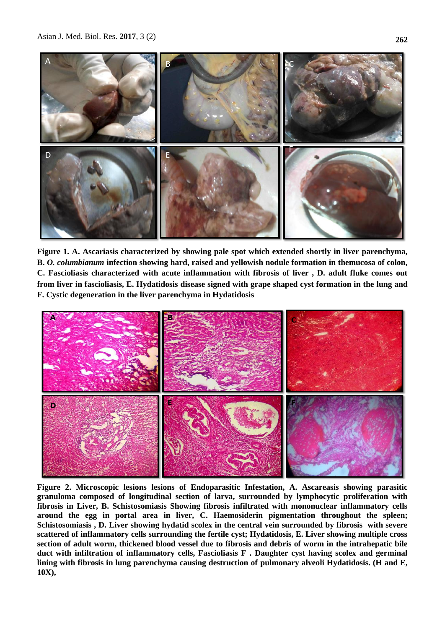

**Figure 1. A. Ascariasis characterized by showing pale spot which extended shortly in liver parenchyma, B.** *O. columbianum* **infection showing hard, raised and yellowish nodule formation in themucosa of colon, C. Fascioliasis characterized with acute inflammation with fibrosis of liver , D. adult fluke comes out from liver in fascioliasis, E. Hydatidosis disease signed with grape shaped cyst formation in the lung and F. Cystic degeneration in the liver parenchyma in Hydatidosis**



**Figure 2. Microscopic lesions lesions of Endoparasitic Infestation, A. Ascareasis showing parasitic granuloma composed of longitudinal**  granuloma composed of longitudinal section of larva, surrounded by lymphocytic proliferation with fibrosis in Liver, B. Schistosomiasis Showing fibrosis infiltrated with mononuclear inflammatory cells **Schistosomiasis , D. Liver showing hydatid scolex in the central vein surrounded by fibrosis with severe scattered of inflammatory cells**  around the egg in portal area in liver, C. Haemosiderin pigmentation throughout the spleen; Schistosomiasis, D. Liver showing hydatid scolex in the central vein surrounded by fibrosis with severe scattered of inflammatory cells surrounding the fertile cyst; Hydatidosis, E. Liver showing multiple cross **Figure 2. Microscopic lesions lesions of Endoparasitic Infestation, A. Ascareasis showing parasitic section of adult worm, thickened blood vessel due to fibrosis and debris of worm in the intrahepatic bile duct with infiltration of inflammatory cells, Fascioliasis F . Daughter cyst having scolex and germinal lining with fibrosis in lung parenchyma causing destruction of pulmonary alveoli Hydatidosis. (H and E, 10X),**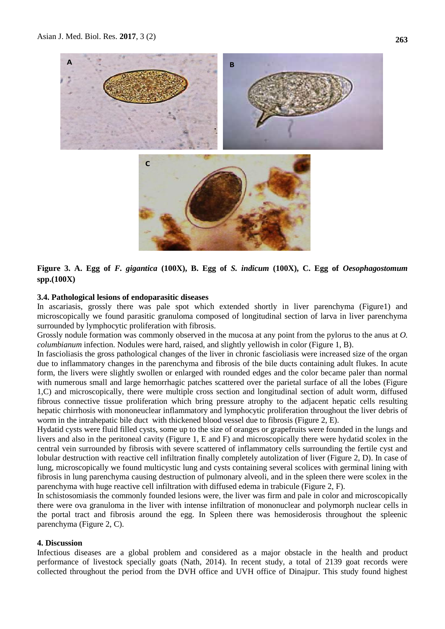

## **Figure 3. A. Egg of** *F. gigantica* **(100X), B. Egg of** *S. indicum* **(100X), C. Egg of** *Oesophagostomum*  **spp.(100X)**

## **3.4. Pathological lesions of endoparasitic diseases**

In ascariasis, grossly there was pale spot which extended shortly in liver parenchyma (Figure1) and microscopically we found parasitic granuloma composed of longitudinal section of larva in liver parenchyma surrounded by lymphocytic proliferation with fibrosis.

Grossly nodule formation was commonly observed in the mucosa at any point from the pylorus to the anus at *O. columbianum* infection. Nodules were hard, raised, and slightly yellowish in color (Figure 1, B).

In fascioliasis the gross pathological changes of the liver in chronic fascioliasis were increased size of the organ due to inflammatory changes in the parenchyma and fibrosis of the bile ducts containing adult flukes. In acute form, the livers were slightly swollen or enlarged with rounded edges and the color became paler than normal with numerous small and large hemorrhagic patches scattered over the parietal surface of all the lobes (Figure 1,C) and microscopically, there were multiple cross section and longitudinal section of adult worm, diffused fibrous connective tissue proliferation which bring pressure atrophy to the adjacent hepatic cells resulting hepatic chirrhosis with mononeuclear inflammatory and lymphocytic proliferation throughout the liver debris of worm in the intrahepatic bile duct with thickened blood vessel due to fibrosis (Figure 2, E).

Hydatid cysts were fluid filled cysts, some up to the size of oranges or grapefruits were founded in the lungs and livers and also in the peritoneal cavity (Figure 1, E and F) and microscopically there were hydatid scolex in the central vein surrounded by fibrosis with severe scattered of inflammatory cells surrounding the fertile cyst and lobular destruction with reactive cell infiltration finally completely autolization of liver (Figure 2, D). In case of lung, microscopically we found multicystic lung and cysts containing several scolices with germinal lining with fibrosis in lung parenchyma causing destruction of pulmonary alveoli, and in the spleen there were scolex in the parenchyma with huge reactive cell infiltration with diffused edema in trabicule (Figure 2, F).

In schistosomiasis the commonly founded lesions were, the liver was firm and pale in color and microscopically there were ova granuloma in the liver with intense infiltration of mononuclear and polymorph nuclear cells in the portal tract and fibrosis around the egg. In Spleen there was hemosiderosis throughout the spleenic parenchyma (Figure 2, C).

## **4. Discussion**

Infectious diseases are a global problem and considered as a major obstacle in the health and product performance of livestock specially goats (Nath, 2014). In recent study, a total of 2139 goat records were collected throughout the period from the DVH office and UVH office of Dinajpur. This study found highest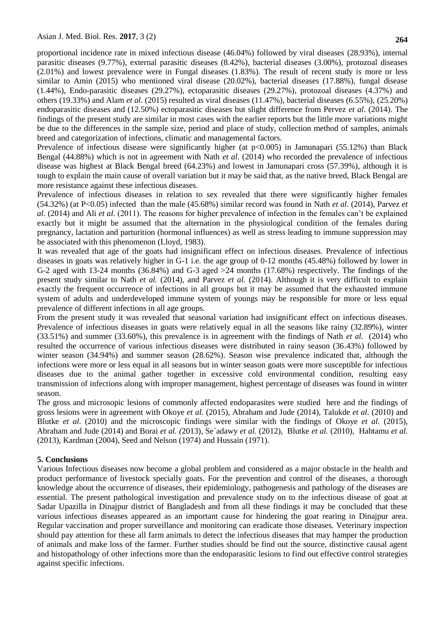proportional incidence rate in mixed infectious disease (46.04%) followed by viral diseases (28.93%), internal parasitic diseases (9.77%), external parasitic diseases (8.42%), bacterial diseases (3.00%), protozoal diseases (2.01%) and lowest prevalence were in Fungal diseases (1.83%). The result of recent study is more or less similar to Amin (2015) who mentioned viral disease (20.02%), bacterial diseases (17.88%), fungal disease (1.44%), Endo-parasitic diseases (29.27%), ectoparasitic diseases (29.27%), protozoal diseases (4.37%) and others (19.33%) and Alam *et al.* (2015) resulted as viral diseases (11.47%), bacterial diseases (6.55%), (25.20%) endoparasitic diseases and (12.50%) ectoparasitic diseases but slight difference from Pervez *et al*. (2014). The findings of the present study are similar in most cases with the earlier reports but the little more variations might be due to the differences in the sample size, period and place of study, collection method of samples, animals breed and categorization of infections, climatic and managemental factors.

Prevalence of infectious disease were significantly higher (at p<0.005) in Jamunapari (55.12%) than Black Bengal (44.88%) which is not in agreement with Nath *et al.* (2014) who recorded the prevalence of infectious disease was highest at Black Bengal breed (64.23%) and lowest in Jamunapari cross (57.39%), although it is tough to explain the main cause of overall variation but it may be said that, as the native breed, Black Bengal are more resistance against these infectious diseases.

Prevalence of infectious diseases in relation to sex revealed that there were significantly higher females (54.32%) (at P<0.05) infected than the male (45.68%) similar record was found in Nath *et al.* (2014), Parvez *et al.* (2014) and Ali *et al.* (2011). The reasons for higher prevalence of infection in the females can"t be explained exactly but it might be assumed that the alternation in the physiological condition of the females during pregnancy, lactation and parturition (hormonal influences) as well as stress leading to immune suppression may be associated with this phenomenon (Lloyd, 1983).

It was revealed that age of the goats had insignificant effect on infectious diseases. Prevalence of infectious diseases in goats was relatively higher in G-1 i.e. the age group of 0-12 months (45.48%) followed by lower in G-2 aged with 13-24 months (36.84%) and G-3 aged >24 months (17.68%) respectively. The findings of the present study similar to Nath *et al.* (2014), and Parvez *et al.* (2014). Although it is very difficult to explain exactly the frequent occurrence of infections in all groups but it may be assumed that the exhausted immune system of adults and underdeveloped immune system of youngs may be responsible for more or less equal prevalence of different infections in all age groups.

From the present study it was revealed that seasonal variation had insignificant effect on infectious diseases. Prevalence of infectious diseases in goats were relatively equal in all the seasons like rainy (32.89%), winter (33.51%) and summer (33.60%), this prevalence is in agreement with the findings of Nath *et al.* (2014) who resulted the occurrence of various infectious diseases were distributed in rainy season (36.43%) followed by winter season (34.94%) and summer season (28.62%). Season wise prevalence indicated that, although the infections were more or less equal in all seasons but in winter season goats were more susceptible for infectious diseases due to the animal gather together in excessive cold environmental condition, resulting easy transmission of infections along with improper management, highest percentage of diseases was found in winter season.

The gross and microsopic lesions of commonly affected endoparasites were studied here and the findings of gross lesions were in agreement with Okoye *et al.* (2015), Abraham and Jude (2014), Talukde *et al.* (2010) and Blutke *et al.* (2010) and the microscopic findings were similar with the findings of Okoye *et al.* (2015), Abraham and Jude (2014) and Borai *et al. (*2013), Se´adawy *et al.* (2012), Blutke *et al.* (2010), Habtamu *et al.*  (2013), Kardman (2004), Seed and Nelson (1974) and Hussain (1971).

## **5. Conclusions**

Various Infectious diseases now become a global problem and considered as a major obstacle in the health and product performance of livestock specially goats. For the prevention and control of the diseases, a thorough knowledge about the occurrence of diseases, their epidemiology, pathogenesis and pathology of the diseases are essential. The present pathological investigation and prevalence study on to the infectious disease of goat at Sadar Upazilla in Dinajpur district of Bangladesh and from all these findings it may be concluded that these various infectious diseases appeared as an important cause for hindering the goat rearing in Dinajpur area. Regular vaccination and proper surveillance and monitoring can eradicate those diseases. Veterinary inspection should pay attention for these all farm animals to detect the infectious diseases that may hamper the production of animals and make loss of the farmer. Further studies should be find out the source, distinctive causal agent and histopathology of other infections more than the endoparasitic lesions to find out effective control strategies against specific infections.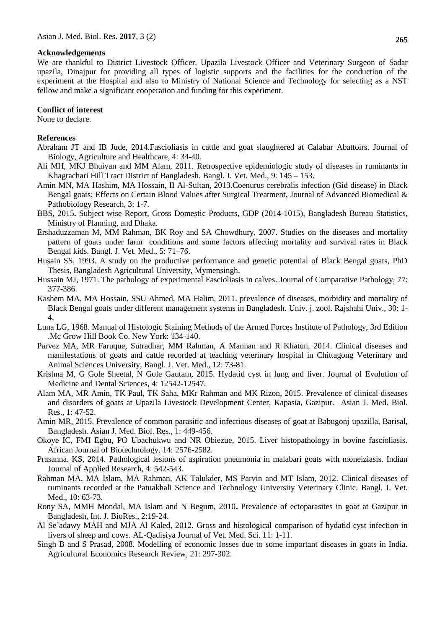#### **Acknowledgements**

We are thankful to District Livestock Officer, Upazila Livestock Officer and Veterinary Surgeon of Sadar upazila, Dinajpur for providing all types of logistic supports and the facilities for the conduction of the experiment at the Hospital and also to Ministry of National Science and Technology for selecting as a NST fellow and make a significant cooperation and funding for this experiment.

## **Conflict of interest**

None to declare.

### **References**

- Abraham JT and IB Jude, 2014.Fascioliasis in cattle and goat slaughtered at Calabar Abattoirs. Journal of Biology, Agriculture and Healthcare*,* 4: 34-40.
- Ali MH, MKJ Bhuiyan and MM Alam, 2011. Retrospective epidemiologic study of diseases in ruminants in Khagrachari Hill Tract District of Bangladesh. Bangl. J. Vet. Med., 9: 145 – 153.
- Amin MN, MA Hashim, MA Hossain, II Al-Sultan, 2013.Coenurus cerebralis infection (Gid disease) in Black Bengal goats; Effects on Certain Blood Values after Surgical Treatment, Journal of Advanced Biomedical & Pathobiology Research, 3: 1-7.
- BBS, 2015**.** Subject wise Report, Gross Domestic Products, GDP (2014-1015), Bangladesh Bureau Statistics, Ministry of Planning, and Dhaka.
- Ershaduzzaman M, MM Rahman, BK Roy and SA Chowdhury, 2007. Studies on the diseases and mortality pattern of goats under farm conditions and some factors affecting mortality and survival rates in Black Bengal kids. Bangl. J. Vet. Med., 5: 71–76.
- Husain SS, 1993. A study on the productive performance and genetic potential of Black Bengal goats, PhD Thesis, Bangladesh Agricultural University, Mymensingh.
- Hussain MJ, 1971. The pathology of experimental Fascioliasis in calves. Journal of Comparative Pathology, 77: 377-386.
- Kashem MA, MA Hossain, SSU Ahmed, MA Halim, 2011. prevalence of diseases, morbidity and mortality of Black Bengal goats under different management systems in Bangladesh. Univ. j. zool. Rajshahi Univ., 30: 1- 4.
- Luna LG, 1968. Manual of Histologic Staining Methods of the Armed Forces Institute of Pathology, 3rd Edition .Mc Grow Hill Book Co. New York: 134-140.
- Parvez MA, MR Faruque, Sutradhar, MM Rahman, A Mannan and R Khatun, 2014. Clinical diseases and manifestations of goats and cattle recorded at teaching veterinary hospital in Chittagong Veterinary and Animal Sciences University, Bangl. J. Vet. Med.*,* 12: 73-81.
- Krishna M, G Gole Sheetal, N Gole Gautam, 2015. Hydatid cyst in lung and liver. Journal of Evolution of Medicine and Dental Sciences, 4: 12542-12547.
- Alam MA, MR Amin, TK Paul, TK Saha, MKr Rahman and MK Rizon, 2015. Prevalence of clinical diseases and disorders of goats at Upazila Livestock Development Center, Kapasia, Gazipur. Asian J. Med. Biol. Res., 1: 47-52.
- Amin MR, 2015. Prevalence of common parasitic and infectious diseases of goat at Babugonj upazilla, Barisal, Bangladesh. Asian J. Med. Biol. Res., 1: 449-456.
- Okoye IC, FMI Egbu, PO Ubachukwu and NR Obiezue, 2015. Liver histopathology in bovine fascioliasis. African Journal of Biotechnology, 14: 2576-2582.
- Prasanna. KS, 2014. Pathological lesions of aspiration pneumonia in malabari goats with moneiziasis. Indian Journal of Applied Research, 4: 542-543.
- Rahman MA, MA Islam, MA Rahman, AK Talukder, MS Parvin and MT Islam, 2012. Clinical diseases of ruminants recorded at the Patuakhali Science and Technology University Veterinary Clinic. Bangl. J. Vet. Med., 10: 63-73.
- Rony SA, MMH Mondal, MA Islam and N Begum, 2010**.** Prevalence of ectoparasites in goat at Gazipur in Bangladesh, Int. J. BioRes., 2:19-24.
- Al Se´adawy MAH and MJA Al Kaled, 2012. Gross and histological comparison of hydatid cyst infection in livers of sheep and cows. AL-Qadisiya Journal of Vet. Med. Sci. 11: 1-11.
- Singh B and S Prasad, 2008. Modelling of economic losses due to some important diseases in goats in India. Agricultural Economics Research Review, 21: 297-302.